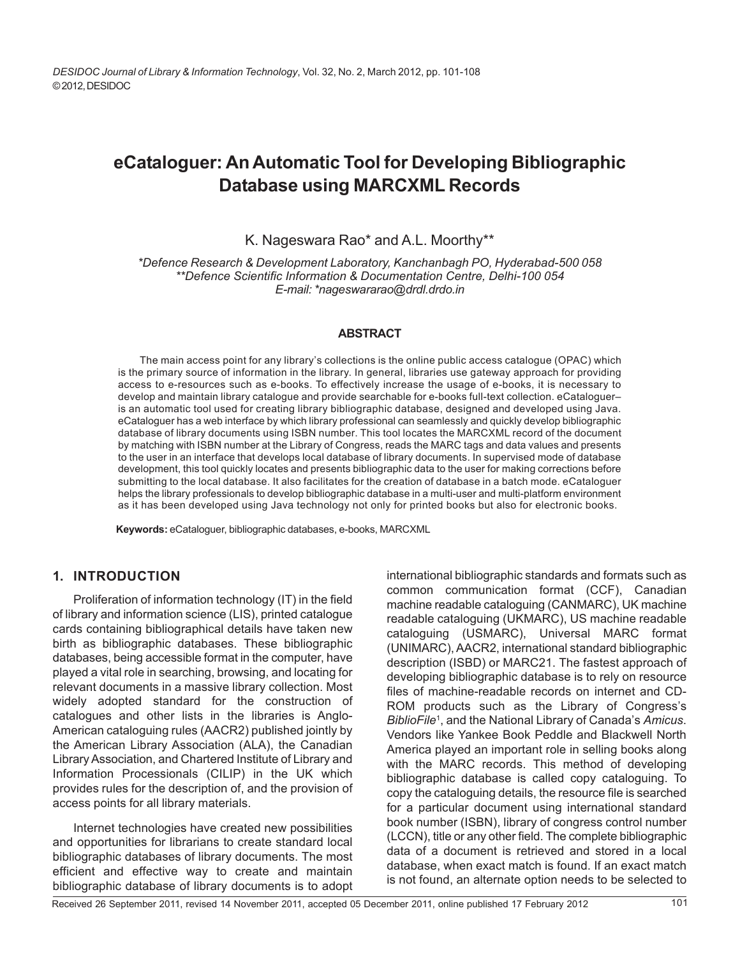# **eCataloguer: An Automatic Tool for Developing Bibliographic Database using MARCXML Records**

# K. Nageswara Rao\* and A.L. Moorthy\*\*

*\*Defence Research & Development Laboratory, Kanchanbagh PO, Hyderabad-500 058 \*\*Defence Scientific Information & Documentation Centre, Delhi-100 054 E-mail: \*nageswararao@drdl.drdo.in*

#### **ABSTRACT**

The main access point for any library's collections is the online public access catalogue (OPAC) which is the primary source of information in the library. In general, libraries use gateway approach for providing access to e-resources such as e-books. To effectively increase the usage of e-books, it is necessary to develop and maintain library catalogue and provide searchable for e-books full-text collection. eCataloguer– is an automatic tool used for creating library bibliographic database, designed and developed using Java. eCataloguer has a web interface by which library professional can seamlessly and quickly develop bibliographic database of library documents using ISBN number. This tool locates the MARCXML record of the document by matching with ISBN number at the Library of Congress, reads the MARC tags and data values and presents to the user in an interface that develops local database of library documents. In supervised mode of database development, this tool quickly locates and presents bibliographic data to the user for making corrections before submitting to the local database. It also facilitates for the creation of database in a batch mode. eCataloguer helps the library professionals to develop bibliographic database in a multi-user and multi-platform environment as it has been developed using Java technology not only for printed books but also for electronic books.

**Keywords:** eCataloguer, bibliographic databases, e-books, MARCXML

# **1. INTRODUCTION**

Proliferation of information technology (IT) in the field of library and information science (LIS), printed catalogue cards containing bibliographical details have taken new birth as bibliographic databases. These bibliographic databases, being accessible format in the computer, have played a vital role in searching, browsing, and locating for relevant documents in a massive library collection. Most widely adopted standard for the construction of catalogues and other lists in the libraries is Anglo-American cataloguing rules (AACR2) published jointly by the American Library Association (ALA), the Canadian Library Association, and Chartered Institute of Library and Information Processionals (CILIP) in the UK which provides rules for the description of, and the provision of access points for all library materials.

Internet technologies have created new possibilities and opportunities for librarians to create standard local bibliographic databases of library documents. The most efficient and effective way to create and maintain bibliographic database of library documents is to adopt

international bibliographic standards and formats such as common communication format (CCF), Canadian machine readable cataloguing (CANMARC), UK machine readable cataloguing (UKMARC), US machine readable cataloguing (USMARC), Universal MARC format (UNIMARC), AACR2, international standard bibliographic description (ISBD) or MARC21. The fastest approach of developing bibliographic database is to rely on resource files of machine-readable records on internet and CD-ROM products such as the Library of Congress's *BiblioFile*<sup>1</sup> , and the National Library of Canada's *Amicus*. Vendors like Yankee Book Peddle and Blackwell North America played an important role in selling books along with the MARC records. This method of developing bibliographic database is called copy cataloguing. To copy the cataloguing details, the resource file is searched for a particular document using international standard book number (ISBN), library of congress control number (LCCN), title or any other field. The complete bibliographic data of a document is retrieved and stored in a local database, when exact match is found. If an exact match is not found, an alternate option needs to be selected to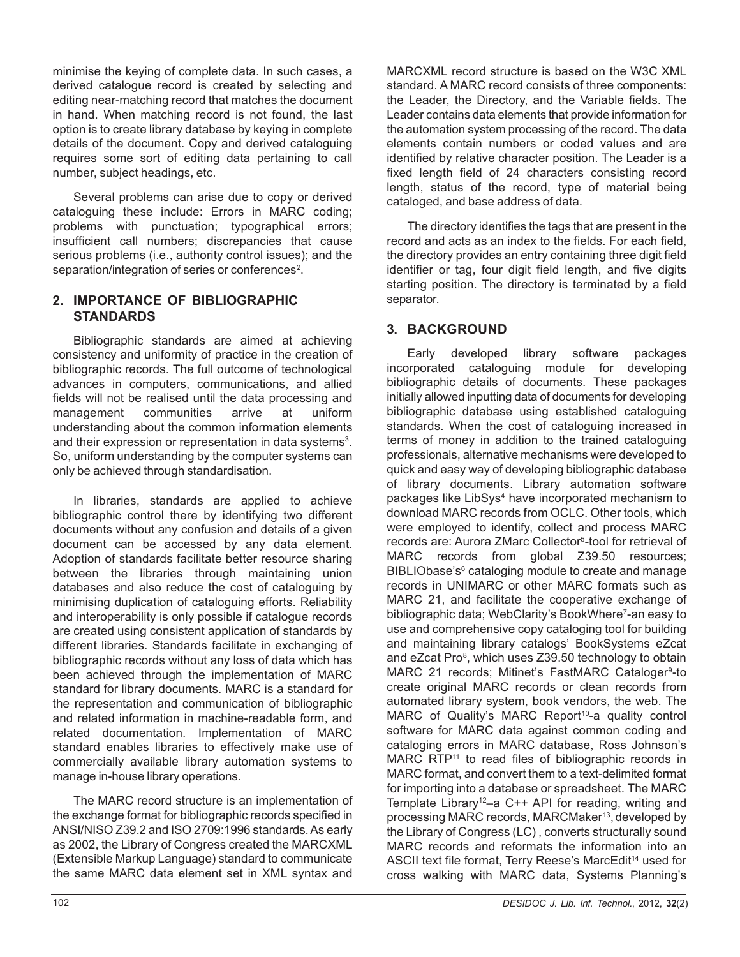minimise the keying of complete data. In such cases, a derived catalogue record is created by selecting and editing near-matching record that matches the document in hand. When matching record is not found, the last option is to create library database by keying in complete details of the document. Copy and derived cataloguing requires some sort of editing data pertaining to call number, subject headings, etc.

Several problems can arise due to copy or derived cataloguing these include: Errors in MARC coding; problems with punctuation; typographical errors; insufficient call numbers; discrepancies that cause serious problems (i.e., authority control issues); and the separation/integration of series or conferences<sup>2</sup>.

# **2. IMPORTANCE OF BIBLIOGRAPHIC STANDARDS**

Bibliographic standards are aimed at achieving consistency and uniformity of practice in the creation of bibliographic records. The full outcome of technological advances in computers, communications, and allied fields will not be realised until the data processing and management communities arrive at uniform understanding about the common information elements and their expression or representation in data systems<sup>3</sup>. So, uniform understanding by the computer systems can only be achieved through standardisation.

In libraries, standards are applied to achieve bibliographic control there by identifying two different documents without any confusion and details of a given document can be accessed by any data element. Adoption of standards facilitate better resource sharing between the libraries through maintaining union databases and also reduce the cost of cataloguing by minimising duplication of cataloguing efforts. Reliability and interoperability is only possible if catalogue records are created using consistent application of standards by different libraries. Standards facilitate in exchanging of bibliographic records without any loss of data which has been achieved through the implementation of MARC standard for library documents. MARC is a standard for the representation and communication of bibliographic and related information in machine-readable form, and related documentation. Implementation of MARC standard enables libraries to effectively make use of commercially available library automation systems to manage in-house library operations.

The MARC record structure is an implementation of the exchange format for bibliographic records specified in ANSI/NISO Z39.2 and ISO 2709:1996 standards. As early as 2002, the Library of Congress created the MARCXML (Extensible Markup Language) standard to communicate the same MARC data element set in XML syntax and

MARCXML record structure is based on the W3C XML standard. A MARC record consists of three components: the Leader, the Directory, and the Variable fields. The Leader contains data elements that provide information for the automation system processing of the record. The data elements contain numbers or coded values and are identified by relative character position. The Leader is a fixed length field of 24 characters consisting record length, status of the record, type of material being cataloged, and base address of data.

The directory identifies the tags that are present in the record and acts as an index to the fields. For each field, the directory provides an entry containing three digit field identifier or tag, four digit field length, and five digits starting position. The directory is terminated by a field separator.

# **3. BACKGROUND**

Early developed library software packages incorporated cataloguing module for developing bibliographic details of documents. These packages initially allowed inputting data of documents for developing bibliographic database using established cataloguing standards. When the cost of cataloguing increased in terms of money in addition to the trained cataloguing professionals, alternative mechanisms were developed to quick and easy way of developing bibliographic database of library documents. Library automation software packages like LibSys<sup>4</sup> have incorporated mechanism to download MARC records from OCLC. Other tools, which were employed to identify, collect and process MARC records are: Aurora ZMarc Collector<sup>5</sup>-tool for retrieval of MARC records from global Z39.50 resources; BIBLIObase's<sup>6</sup> cataloging module to create and manage records in UNIMARC or other MARC formats such as MARC 21, and facilitate the cooperative exchange of bibliographic data; WebClarity's BookWhere<sup>7</sup>-an easy to use and comprehensive copy cataloging tool for building and maintaining library catalogs' BookSystems eZcat and eZcat Pro<sup>8</sup>, which uses Z39.50 technology to obtain MARC 21 records; Mitinet's FastMARC Cataloger<sup>9</sup>-to create original MARC records or clean records from automated library system, book vendors, the web. The MARC of Quality's MARC Report<sup>10</sup>-a quality control software for MARC data against common coding and cataloging errors in MARC database, Ross Johnson's MARC RTP<sup>11</sup> to read files of bibliographic records in MARC format, and convert them to a text-delimited format for importing into a database or spreadsheet. The MARC Template Library<sup>12</sup>–a C++ API for reading, writing and processing MARC records, MARCMaker<sup>13</sup>, developed by the Library of Congress (LC) , converts structurally sound MARC records and reformats the information into an ASCII text file format, Terry Reese's MarcEdit<sup>14</sup> used for cross walking with MARC data, Systems Planning's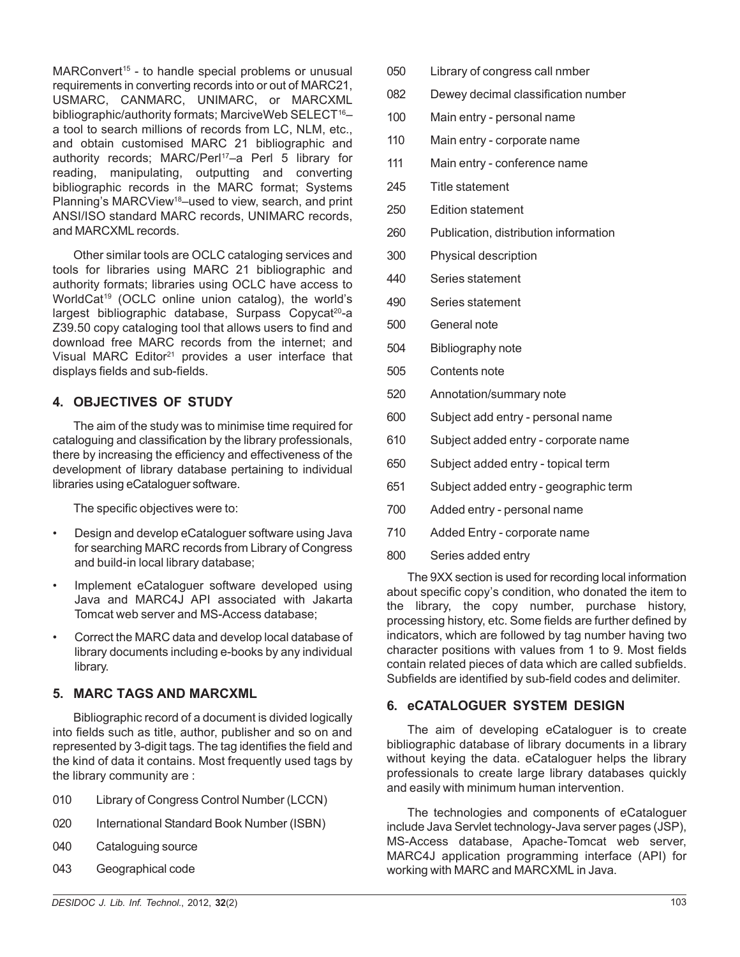MARConvert<sup>15</sup> - to handle special problems or unusual requirements in converting records into or out of MARC21, USMARC, CANMARC, UNIMARC, or MARCXML bibliographic/authority formats: MarciveWeb SELECT<sup>16</sup>a tool to search millions of records from LC, NLM, etc., and obtain customised MARC 21 bibliographic and authority records; MARC/Perl<sup>17</sup>-a Perl 5 library for reading, manipulating, outputting and converting bibliographic records in the MARC format; Systems Planning's MARCView<sup>18</sup>–used to view, search, and print ANSI/ISO standard MARC records, UNIMARC records, and MARCXML records.

Other similar tools are OCLC cataloging services and tools for libraries using MARC 21 bibliographic and authority formats; libraries using OCLC have access to WorldCat<sup>19</sup> (OCLC online union catalog), the world's  $largest \ bibliographic \ database, Surpass \ Copycat<sup>20</sup>-a$ Z39.50 copy cataloging tool that allows users to find and download free MARC records from the internet; and Visual MARC Editor<sup>21</sup> provides a user interface that displays fields and sub-fields.

# **4. OBJECTIVES OF STUDY**

The aim of the study was to minimise time required for cataloguing and classification by the library professionals, there by increasing the efficiency and effectiveness of the development of library database pertaining to individual libraries using eCataloguer software.

The specific objectives were to:

- Design and develop eCataloguer software using Java for searching MARC records from Library of Congress and build-in local library database;
- Implement eCataloguer software developed using Java and MARC4J API associated with Jakarta Tomcat web server and MS-Access database;
- Correct the MARC data and develop local database of library documents including e-books by any individual library.

# **5. MARC TAGS AND MARCXML**

Bibliographic record of a document is divided logically into fields such as title, author, publisher and so on and represented by 3-digit tags. The tag identifies the field and the kind of data it contains. Most frequently used tags by the library community are :

- 010 Library of Congress Control Number (LCCN)
- 020 International Standard Book Number (ISBN)
- 040 Cataloguing source
- 043 Geographical code
- 050 Library of congress call nmber
- 082 Dewey decimal classification number
- 100 Main entry personal name
- 110 Main entry corporate name
- 111 Main entry conference name
- 245 Title statement
- 250 Edition statement
- 260 Publication, distribution information
- 300 Physical description
- 440 Series statement
- 490 Series statement
- 500 General note
- 504 Bibliography note
- 505 Contents note
- 520 Annotation/summary note
- 600 Subject add entry personal name
- 610 Subject added entry corporate name
- 650 Subject added entry topical term
- 651 Subject added entry geographic term
- 700 Added entry personal name
- 710 Added Entry corporate name
- 800 Series added entry

The 9XX section is used for recording local information about specific copy's condition, who donated the item to the library, the copy number, purchase history, processing history, etc. Some fields are further defined by indicators, which are followed by tag number having two character positions with values from 1 to 9. Most fields contain related pieces of data which are called subfields. Subfields are identified by sub-field codes and delimiter.

# **6. eCATALOGUER SYSTEM DESIGN**

The aim of developing eCataloguer is to create bibliographic database of library documents in a library without keying the data. eCataloguer helps the library professionals to create large library databases quickly and easily with minimum human intervention.

The technologies and components of eCataloguer include Java Servlet technology-Java server pages (JSP), MS-Access database, Apache-Tomcat web server, MARC4J application programming interface (API) for working with MARC and MARCXML in Java.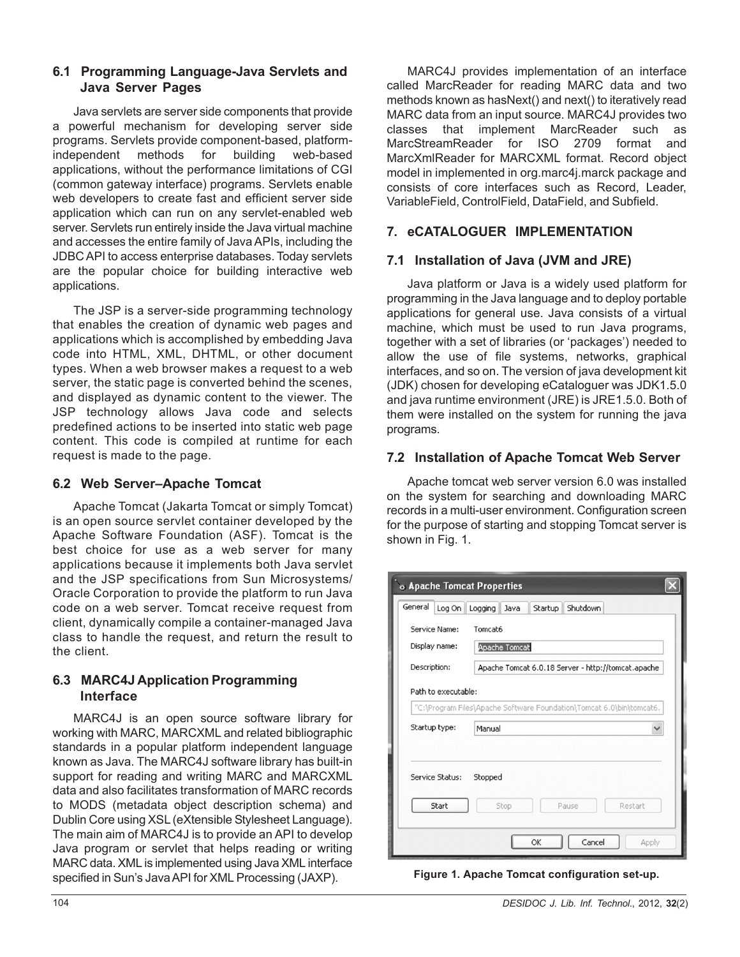# **6.1 Programming Language-Java Servlets and Java Server Pages**

Java servlets are server side components that provide a powerful mechanism for developing server side programs. Servlets provide component-based, platformindependent methods for building web-based applications, without the performance limitations of CGI (common gateway interface) programs. Servlets enable web developers to create fast and efficient server side application which can run on any servlet-enabled web server. Servlets run entirely inside the Java virtual machine and accesses the entire family of Java APIs, including the JDBC API to access enterprise databases. Today servlets are the popular choice for building interactive web applications.

The JSP is a server-side programming technology that enables the creation of dynamic web pages and applications which is accomplished by embedding Java code into HTML, XML, DHTML, or other document types. When a web browser makes a request to a web server, the static page is converted behind the scenes, and displayed as dynamic content to the viewer. The JSP technology allows Java code and selects predefined actions to be inserted into static web page content. This code is compiled at runtime for each request is made to the page.

# **6.2 Web Server–Apache Tomcat**

Apache Tomcat (Jakarta Tomcat or simply Tomcat) is an open source servlet container developed by the Apache Software Foundation (ASF). Tomcat is the best choice for use as a web server for many applications because it implements both Java servlet and the JSP specifications from Sun Microsystems/ Oracle Corporation to provide the platform to run Java code on a web server. Tomcat receive request from client, dynamically compile a container-managed Java class to handle the request, and return the result to the client.

# **6.3 MARC4J Application Programming Interface**

MARC4J is an open source software library for working with MARC, MARCXML and related bibliographic standards in a popular platform independent language known as Java. The MARC4J software library has built-in support for reading and writing MARC and MARCXML data and also facilitates transformation of MARC records to MODS (metadata object description schema) and Dublin Core using XSL (eXtensible Stylesheet Language). The main aim of MARC4J is to provide an API to develop Java program or servlet that helps reading or writing MARC data. XML is implemented using Java XML interface specified in Sun's Java API for XML Processing (JAXP).

MARC4J provides implementation of an interface called MarcReader for reading MARC data and two methods known as hasNext() and next() to iteratively read MARC data from an input source. MARC4J provides two classes that implement MarcReader such as MarcStreamReader for ISO 2709 format and MarcXmlReader for MARCXML format. Record object model in implemented in org.marc4j.marck package and consists of core interfaces such as Record, Leader, VariableField, ControlField, DataField, and Subfield.

# **7. eCATALOGUER IMPLEMENTATION**

# **7.1 Installation of Java (JVM and JRE)**

Java platform or Java is a widely used platform for programming in the Java language and to deploy portable applications for general use. Java consists of a virtual machine, which must be used to run Java programs, together with a set of libraries (or 'packages') needed to allow the use of file systems, networks, graphical interfaces, and so on. The version of java development kit (JDK) chosen for developing eCataloguer was JDK1.5.0 and java runtime environment (JRE) is JRE1.5.0. Both of them were installed on the system for running the java programs.

# **7.2 Installation of Apache Tomcat Web Server**

Apache tomcat web server version 6.0 was installed on the system for searching and downloading MARC records in a multi-user environment. Configuration screen for the purpose of starting and stopping Tomcat server is shown in Fig. 1.

| <b>&amp; Apache Tomcat Properties</b> |                                                                      |  |  |  |  |
|---------------------------------------|----------------------------------------------------------------------|--|--|--|--|
| General                               | Log On Logging Java<br>Startup<br>Shutdown                           |  |  |  |  |
| Service Name:                         | Tomcat6                                                              |  |  |  |  |
| Display name:                         | <b>Apache Tomcat</b>                                                 |  |  |  |  |
| Description:                          | Apache Tomcat 6.0.18 Server - http://tomcat.apache                   |  |  |  |  |
| Path to executable:                   |                                                                      |  |  |  |  |
|                                       | "C:\Program Files\Apache Software Foundation\Tomcat 6.0\bin\tomcat6. |  |  |  |  |
| Startup type:                         | Manual<br>$\checkmark$                                               |  |  |  |  |
| Service Status:<br>Start              | Stopped<br>Restart<br>Stop<br>Pause                                  |  |  |  |  |
|                                       | Cancel<br>OK<br>Apply                                                |  |  |  |  |

**Figure 1. Apache Tomcat configuration set-up.**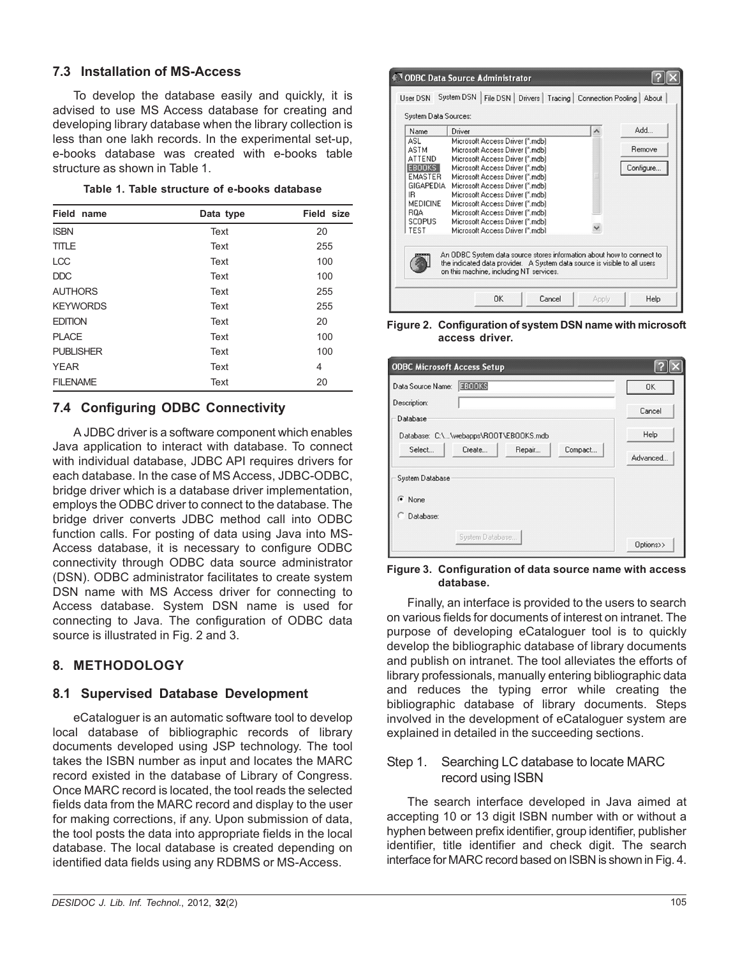### **7.3 Installation of MS-Access**

To develop the database easily and quickly, it is advised to use MS Access database for creating and developing library database when the library collection is less than one lakh records. In the experimental set-up, e-books database was created with e-books table structure as shown in Table 1.

|  |  | Table 1. Table structure of e-books database |  |  |  |
|--|--|----------------------------------------------|--|--|--|
|--|--|----------------------------------------------|--|--|--|

| Field name       | Data type | Field size |
|------------------|-----------|------------|
| <b>ISBN</b>      | Text      | 20         |
| <b>TITLE</b>     | Text      | 255        |
| <b>LCC</b>       | Text      | 100        |
| DDC              | Text      | 100        |
| <b>AUTHORS</b>   | Text      | 255        |
| <b>KEYWORDS</b>  | Text      | 255        |
| <b>EDITION</b>   | Text      | 20         |
| <b>PLACE</b>     | Text      | 100        |
| <b>PUBLISHER</b> | Text      | 100        |
| <b>YEAR</b>      | Text      | 4          |
| <b>FILENAME</b>  | Text      | 20         |

# **7.4 Configuring ODBC Connectivity**

A JDBC driver is a software component which enables Java application to interact with database. To connect with individual database, JDBC API requires drivers for each database. In the case of MS Access, JDBC-ODBC, bridge driver which is a database driver implementation, employs the ODBC driver to connect to the database. The bridge driver converts JDBC method call into ODBC function calls. For posting of data using Java into MS-Access database, it is necessary to configure ODBC connectivity through ODBC data source administrator (DSN). ODBC administrator facilitates to create system DSN name with MS Access driver for connecting to Access database. System DSN name is used for connecting to Java. The configuration of ODBC data source is illustrated in Fig. 2 and 3.

# **8. METHODOLOGY**

# **8.1 Supervised Database Development**

eCataloguer is an automatic software tool to develop local database of bibliographic records of library documents developed using JSP technology. The tool takes the ISBN number as input and locates the MARC record existed in the database of Library of Congress. Once MARC record is located, the tool reads the selected fields data from the MARC record and display to the user for making corrections, if any. Upon submission of data, the tool posts the data into appropriate fields in the local database. The local database is created depending on identified data fields using any RDBMS or MS-Access.



**Figure 2. Configuration of system DSN name with microsoft access driver.**

| <b>ODBC Microsoft Access Setup</b>    |           |
|---------------------------------------|-----------|
| <b>EBOOKS</b><br>Data Source Name:    | 0K        |
| Description:                          | Cancel    |
| Database                              |           |
| Database: C:\\webapps\R00T\EB00KS.mdb | Help      |
| Select<br>Create<br>Repair<br>Compact | Advanced  |
| System Database                       |           |
| G None                                |           |
| Database:                             |           |
| System Database                       | Options>> |

**Figure 3. Configuration of data source name with access database.**

Finally, an interface is provided to the users to search on various fields for documents of interest on intranet. The purpose of developing eCataloguer tool is to quickly develop the bibliographic database of library documents and publish on intranet. The tool alleviates the efforts of library professionals, manually entering bibliographic data and reduces the typing error while creating the bibliographic database of library documents. Steps involved in the development of eCataloguer system are explained in detailed in the succeeding sections.

### Step 1. Searching LC database to locate MARC record using ISBN

The search interface developed in Java aimed at accepting 10 or 13 digit ISBN number with or without a hyphen between prefix identifier, group identifier, publisher identifier, title identifier and check digit. The search interface for MARC record based on ISBN is shown in Fig. 4.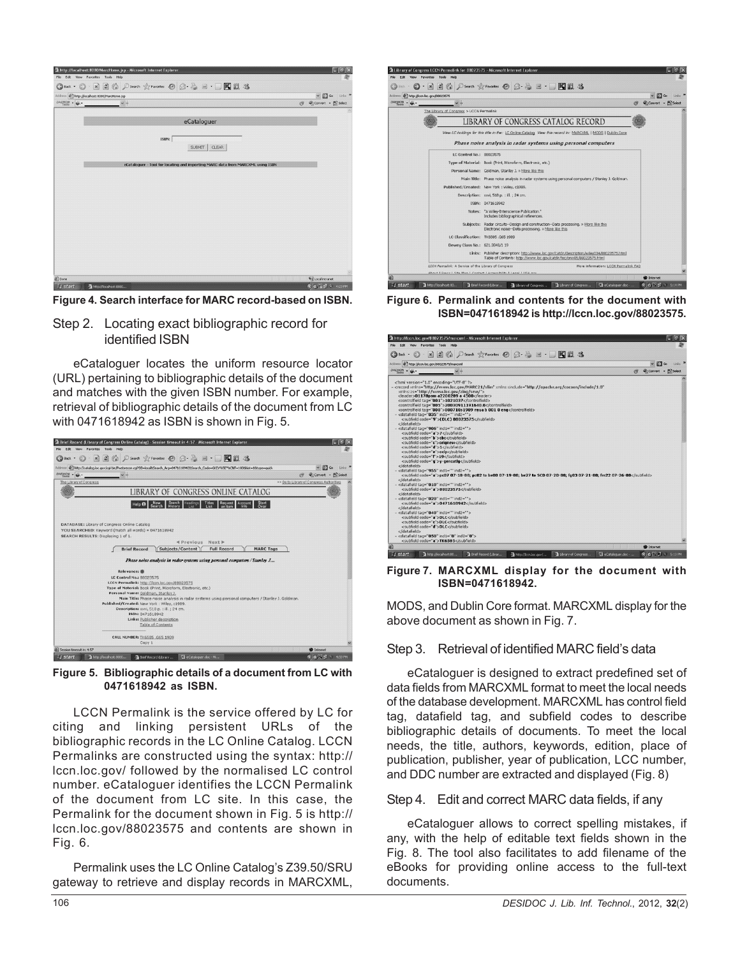

**Figure 4. Search interface for MARC record-based on ISBN.**

Step 2. Locating exact bibliographic record for identified ISBN

eCataloguer locates the uniform resource locator (URL) pertaining to bibliographic details of the document and matches with the given ISBN number. For example, retrieval of bibliographic details of the document from LC with 0471618942 as ISBN is shown in Fig. 5.



**Figure 5. Bibliographic details of a document from LC with 0471618942 as ISBN.**

LCCN Permalink is the service offered by LC for citing and linking persistent URLs of the bibliographic records in the LC Online Catalog. LCCN Permalinks are constructed using the syntax: http:// lccn.loc.gov/ followed by the normalised LC control number. eCataloguer identifies the LCCN Permalink of the document from LC site. In this case, the Permalink for the document shown in Fig. 5 is http:// lccn.loc.gov/88023575 and contents are shown in Fig. 6.

Permalink uses the LC Online Catalog's Z39.50/SRU gateway to retrieve and display records in MARCXML,



**Figure 6. Permalink and contents for the document with ISBN=0471618942 is http://lccn.loc.gov/88023575.**



**Figure 7. MARCXML display for the document with ISBN=0471618942.**

MODS, and Dublin Core format. MARCXML display for the above document as shown in Fig. 7.

#### Step 3. Retrieval of identified MARC field's data

eCataloguer is designed to extract predefined set of data fields from MARCXML format to meet the local needs of the database development. MARCXML has control field tag, datafield tag, and subfield codes to describe bibliographic details of documents. To meet the local needs, the title, authors, keywords, edition, place of publication, publisher, year of publication, LCC number, and DDC number are extracted and displayed (Fig. 8)

#### Step 4. Edit and correct MARC data fields, if any

eCataloguer allows to correct spelling mistakes, if any, with the help of editable text fields shown in the Fig. 8. The tool also facilitates to add filename of the eBooks for providing online access to the full-text documents.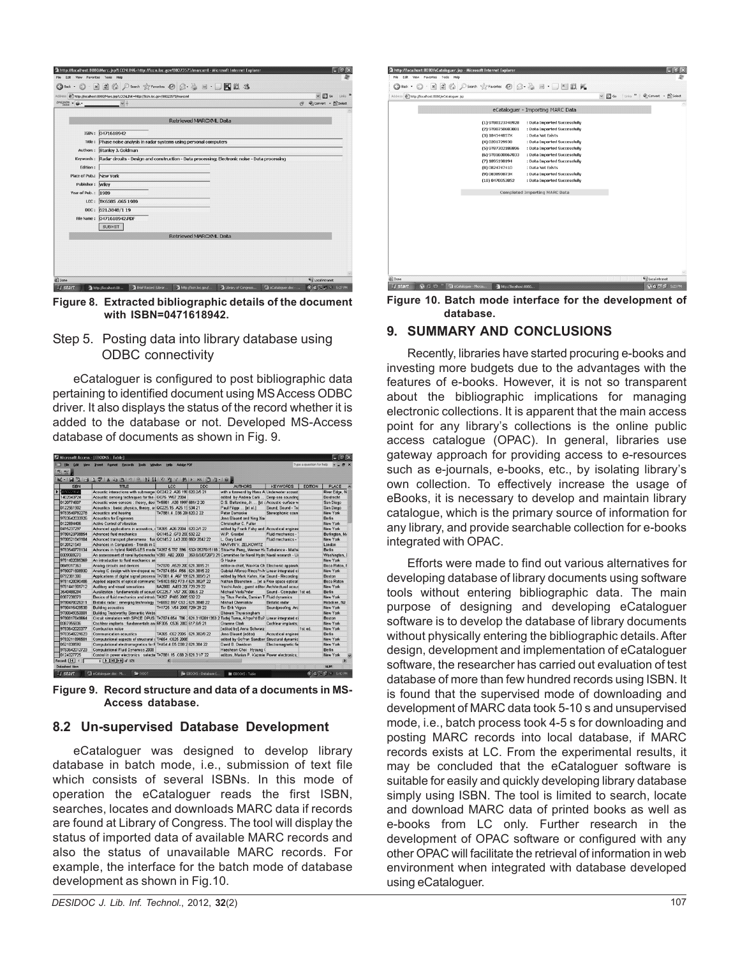| $DAEMON - 6.$           |                                                                                                          | Convert - EC Select<br>Ø9 |
|-------------------------|----------------------------------------------------------------------------------------------------------|---------------------------|
|                         | <b>Retrieved MARCXML Data</b>                                                                            |                           |
|                         | ISBN: 0471618942                                                                                         |                           |
|                         | Title : Phase noise analysis in radar systems using personal computers                                   |                           |
|                         | Authors: Stanley J. Goldman                                                                              |                           |
|                         | Keywords: Radar circuits - Design and construction - Data processing; Electronic noise - Data processing |                           |
| Edition:                |                                                                                                          |                           |
| Place of Pub.: New York |                                                                                                          |                           |
| Publisher: Wiley        |                                                                                                          |                           |
| Year of Pub.: 1989      |                                                                                                          |                           |
|                         | LCC: TK6585.G65 1989                                                                                     |                           |
|                         | DDC: 621.3848/1 19                                                                                       |                           |
|                         | File Name: 0471618942.PDF                                                                                |                           |
|                         | <b>SUBMIT</b>                                                                                            |                           |
|                         | Retrieved MARCXML Data                                                                                   |                           |
|                         |                                                                                                          |                           |
|                         |                                                                                                          |                           |

**Figure 8. Extracted bibliographic details of the document with ISBN=0471618942.**

### Step 5. Posting data into library database using ODBC connectivity

eCataloguer is configured to post bibliographic data pertaining to identified document using MS Access ODBC driver. It also displays the status of the record whether it is added to the database or not. Developed MS-Access database of documents as shown in Fig. 9.

| Edit<br><b>Week</b>   | <b>Insert Format</b><br>Records<br>Tools                                                                                                                                                                                                                                                                                                                                                               | Adobe PDF<br>Window         |            |                                                 |                          | Type a question for help |                |
|-----------------------|--------------------------------------------------------------------------------------------------------------------------------------------------------------------------------------------------------------------------------------------------------------------------------------------------------------------------------------------------------------------------------------------------------|-----------------------------|------------|-------------------------------------------------|--------------------------|--------------------------|----------------|
| あお日                   |                                                                                                                                                                                                                                                                                                                                                                                                        |                             |            |                                                 |                          |                          |                |
|                       | M-  Q  Q  Q  \$  X  Q  Q  Q  }  }  X  Y  X  X  Q  Q  Q   Q                                                                                                                                                                                                                                                                                                                                             |                             |            |                                                 |                          |                          |                |
| <b>ISBN</b>           | <b>TITLE</b>                                                                                                                                                                                                                                                                                                                                                                                           | LCC                         | <b>DDC</b> | <b>AUTHORS</b>                                  | <b>KEYWORDS</b>          | <b>EDITION</b>           | <b>PLACE</b>   |
| <b>CELLINGRY</b>      | Acoustic interactions with submerger QC242.2 A26 199 620 2/5 21                                                                                                                                                                                                                                                                                                                                        |                             |            | with a foreword by Hans A Underwater acoust     |                          |                          | River Edge, N. |
| 1402043724            | Acoustic sensing techniques for the : GC75 .W67 2004                                                                                                                                                                                                                                                                                                                                                   |                             |            | edited by Andrea Caiti                          | Deep-sea sounding        |                          | Dordrecht      |
| 0120774607            | Acoustic wave sensors : theory, desi TK5981 .A38 1997 681/.2 20                                                                                                                                                                                                                                                                                                                                        |                             |            | D.S. Ballantine, Jr.  fet i Acoustic surface w  |                          |                          | San Diego      |
| 0122561902            | Acoustics : basic physics, theory, ar QC225.15, A25 19534 21                                                                                                                                                                                                                                                                                                                                           |                             |            | Paul Filippi  [et al.]                          | Sound: Sound - Tra       |                          | San Diego      |
| 9783540782278         | Acoustics and hearing                                                                                                                                                                                                                                                                                                                                                                                  | TK7881.4 D36 20 620 2 22    |            | Peter Damaske                                   | Stereophonic soun        |                          | New York       |
| 9783642033926         | <b>Acoustics for Engineers</b>                                                                                                                                                                                                                                                                                                                                                                         |                             |            | Jens Blauert and Ning Xiar                      |                          |                          | <b>Berlin</b>  |
| 0122694406            | <b>Active Control of Vibration</b>                                                                                                                                                                                                                                                                                                                                                                     |                             |            | Christopher C. Fuller                           |                          |                          | New York       |
| 0415237297            | Advanced applications in acoustics, i TA365 A26 2004 620.2/1 22                                                                                                                                                                                                                                                                                                                                        |                             |            | edited by Frank Fahy and Acoustical enginee     |                          |                          | New York       |
| 9780123708854         | Advanced fluid mechanics                                                                                                                                                                                                                                                                                                                                                                               | QC145.2 G73 200 532 22      |            | W.P. Graebel                                    | Fluid mechanics -        |                          | Burlington, M  |
| 9780521849104         | Advanced transport phenomena : fluid QC145.2 .L43 200 660/.2842 22                                                                                                                                                                                                                                                                                                                                     |                             |            | L. Gary Leal                                    | Fluid mechanics -        |                          | New York       |
| 0120121549            | Advances in Computers - Trends in S.                                                                                                                                                                                                                                                                                                                                                                   |                             |            | MARVIN V. ZELKOWITZ                             |                          |                          | London         |
| 9783540778134         | Advances in hybrid RANS-LES mode TA357.5.T87 S96 532/.0527015118 . Shia-Hui Peng, Werner Ha Turbulence - Mathe                                                                                                                                                                                                                                                                                         |                             |            |                                                 |                          |                          | <b>Berlin</b>  |
| 0309069270            | An assessment of naval hydromecha V393 .A82 2000 359.8/3/072073 21 Committee for Naval Hydrc Naval research - Ur                                                                                                                                                                                                                                                                                       |                             |            |                                                 |                          |                          | Washington, I  |
| 9781402095369         | An introduction to fluid mechanics an                                                                                                                                                                                                                                                                                                                                                                  |                             |            | G Hauke                                         |                          |                          | New York       |
| 0849317363            | Analog circuits and devices                                                                                                                                                                                                                                                                                                                                                                            | Tk7870 A529 200 621 3815 21 |            | editor-in-chief, Wai-Kai Ch Electronic apparatu |                          |                          | Boca Raton. F  |
| 9780071608930         | Analog IC design with low-dropout red TK7874.654 .R56 1621.3815 22                                                                                                                                                                                                                                                                                                                                     |                             |            | Gabriel Alfonso Rinco?n-M Linear integrated ci  |                          |                          | New York       |
| 0792381300            | Applications of digital signal processi TK7881.4 .A67 19:621.389/3 21                                                                                                                                                                                                                                                                                                                                  |                             |            | edited by Mark Kahrs, Kar Sound - Recording     |                          |                          | Boston         |
| 9781420090406         | Applied aspects of optical communic TK5103.592 F73 A 621.382/7 22                                                                                                                                                                                                                                                                                                                                      |                             |            | Nathan Blaunstein  [et a Free space optical     |                          |                          | Roca Raton     |
| 9781441901712         | Auditory and visual sensations                                                                                                                                                                                                                                                                                                                                                                         | NA2800 A493 200 729 29 22   |            | Yoichi Ando: quest editor Architectural acous   |                          |                          | New York       |
| 3540488294            | Auralization : fundamentals of acoust QC225.7 .V67 200 006.5 22                                                                                                                                                                                                                                                                                                                                        |                             |            | Michael Vorla?nder                              | Sound - Computer 1st ed. |                          | <b>Berlin</b>  |
| 0387238379            | Basics of fluid mechanics and introdu TA357 .P485 2005 532 22                                                                                                                                                                                                                                                                                                                                          |                             |            | by Titus Petrila, Damian T Fluid dynamics       |                          |                          | New York       |
| 9780470026311         | Bistatic radar: emerging technology TK6592.B57 C53 2621.3848 22                                                                                                                                                                                                                                                                                                                                        |                             |            | Mikhail Cherniakov                              | <b>Bistatic radar</b>    |                          | Hoboken, NJ    |
| 9780415428538         | <b>Building acoustics</b>                                                                                                                                                                                                                                                                                                                                                                              | TH1725 V54 200E 729/29 22   |            | Tor Erik Vigran                                 | Soundproofing; Arc       |                          | New York       |
| 9780849350801         | <b>Building Trustworthy Semantic Webs</b>                                                                                                                                                                                                                                                                                                                                                              |                             |            | Bhavani Thuraisingham                           |                          |                          | New York       |
| 9780817648664         | Circuit simulation with SPICE OPUS Tk7874.654 .T86 1621.3192011353 2 Tadej Tuma, A?rpa?d Bu? Linear integrated ci                                                                                                                                                                                                                                                                                      |                             |            |                                                 |                          |                          | <b>Roston</b>  |
| 0387955836            | Cochlear implants : fundamentals ani RF305 .C536 2003 617.8/9 21                                                                                                                                                                                                                                                                                                                                       |                             |            | <b>Graeme Clark</b>                             | Cochlear implants:       |                          | New York       |
| 9783642020377         | Combustion noise                                                                                                                                                                                                                                                                                                                                                                                       |                             |            | [edited by] Anna Schwarz                        |                          | 1st ed                   | Now York       |
| 9783540221623         | <b>Communication acoustics</b>                                                                                                                                                                                                                                                                                                                                                                         | TA365 C62 2005 621 382/8 22 |            | Jens Blauert (editor)                           | Acoustical enginee       |                          | <b>Redin</b>   |
| 9783211896501         | Computational aspects of structural a TA654 .C625 2006                                                                                                                                                                                                                                                                                                                                                 |                             |            | edited by Go?ran Sandber Structural dynamic     |                          |                          | New York       |
| 0521838592            | Computational electromagnetics for F TK454.4.E5 D38 2 621.384 22                                                                                                                                                                                                                                                                                                                                       |                             |            | David B. Davidosn                               | Electromagnetic fie      |                          | New York       |
| 9783642012723         | <b>Computational Fluid Dynamics 2008</b>                                                                                                                                                                                                                                                                                                                                                               |                             |            | Haecheon Choi · Hyoung 0                        |                          |                          | <b>Berlin</b>  |
| 0124027725            | Control in power electronics : selecte TK7881.15 .C68 2 621.31/7 22                                                                                                                                                                                                                                                                                                                                    |                             |            | editors, Marian P. Kazmie Power electronics;    |                          |                          | New York       |
| Record: 14 4          | $\overline{1}$ $\overline{)$ $\overline{)$ $\overline{)$ $\overline{)$ $\overline{)$ $\overline{)$ $\overline{)$ $\overline{)$ $\overline{)$ $\overline{)$ $\overline{)$ $\overline{)$ $\overline{)$ $\overline{)$ $\overline{)$ $\overline{)$ $\overline{)$ $\overline{)$ $\overline{)$ $\overline{)$ $\overline{)$ $\overline{)$ $\overline{)$ $\overline{)$ $\overline{)$ $\overline{)$ $\overline$ | ×                           |            |                                                 |                          |                          | ь              |
| <b>Datasheet View</b> |                                                                                                                                                                                                                                                                                                                                                                                                        |                             |            |                                                 |                          |                          | <b>NUM</b>     |

**Figure 9. Record structure and data of a documents in MS-Access database.**

# **8.2 Un-supervised Database Development**

eCataloguer was designed to develop library database in batch mode, i.e., submission of text file which consists of several ISBNs. In this mode of operation the eCataloguer reads the first ISBN, searches, locates and downloads MARC data if records are found at Library of Congress. The tool will display the status of imported data of available MARC records and also the status of unavailable MARC records. For example, the interface for the batch mode of database development as shown in Fig.10.

| Address @ http://localhost:8080/eCataloguer.jsp |                   |                                      | v B Go Links " Convert - B Select |  |
|-------------------------------------------------|-------------------|--------------------------------------|-----------------------------------|--|
|                                                 |                   | eCataloguer - Importing MARC Data    |                                   |  |
|                                                 | (1) 9780123748928 | : Data Imported Successfully         |                                   |  |
|                                                 | (2) 9780750683081 | : Data Imported Successfully         |                                   |  |
|                                                 | (3) 184544857X    | : Data Not Exists                    |                                   |  |
|                                                 | (4) 0201729938    | : Data Imported Successfully         |                                   |  |
|                                                 | (5) 9787302188896 | : Data Imported Successfully         |                                   |  |
|                                                 | (6) 9781600867033 | : Data Imported Successfully         |                                   |  |
|                                                 | (7) 1895198194    | : Data Imported Successfully         |                                   |  |
|                                                 | (8) 0824747410    | : Data Not Exists                    |                                   |  |
|                                                 | (9) 083890873X    | : Data Imported Successfully         |                                   |  |
|                                                 | (10) 0470053852   | : Data Imported Successfully         |                                   |  |
|                                                 |                   | <b>Completed Importing MARC Data</b> |                                   |  |
|                                                 |                   |                                      |                                   |  |
|                                                 |                   |                                      |                                   |  |
|                                                 |                   |                                      |                                   |  |
|                                                 |                   |                                      |                                   |  |
|                                                 |                   |                                      |                                   |  |
|                                                 |                   |                                      |                                   |  |
|                                                 |                   |                                      |                                   |  |
|                                                 |                   |                                      |                                   |  |
|                                                 |                   |                                      |                                   |  |

**Figure 10. Batch mode interface for the development of database.**

# **9. SUMMARY AND CONCLUSIONS**

Recently, libraries have started procuring e-books and investing more budgets due to the advantages with the features of e-books. However, it is not so transparent about the bibliographic implications for managing electronic collections. It is apparent that the main access point for any library's collections is the online public access catalogue (OPAC). In general, libraries use gateway approach for providing access to e-resources such as e-journals, e-books, etc., by isolating library's own collection. To effectively increase the usage of eBooks, it is necessary to develop and maintain library catalogue, which is the primary source of information for any library, and provide searchable collection for e-books integrated with OPAC.

Efforts were made to find out various alternatives for developing database of library documents using software tools without entering bibliographic data. The main purpose of designing and developing eCataloguer software is to develop the database of library documents without physically entering the bibliographic details. After design, development and implementation of eCataloguer software, the researcher has carried out evaluation of test database of more than few hundred records using ISBN. It is found that the supervised mode of downloading and development of MARC data took 5-10 s and unsupervised mode, i.e., batch process took 4-5 s for downloading and posting MARC records into local database, if MARC records exists at LC. From the experimental results, it may be concluded that the eCataloguer software is suitable for easily and quickly developing library database simply using ISBN. The tool is limited to search, locate and download MARC data of printed books as well as e-books from LC only. Further research in the development of OPAC software or configured with any other OPAC will facilitate the retrieval of information in web environment when integrated with database developed using eCataloguer.